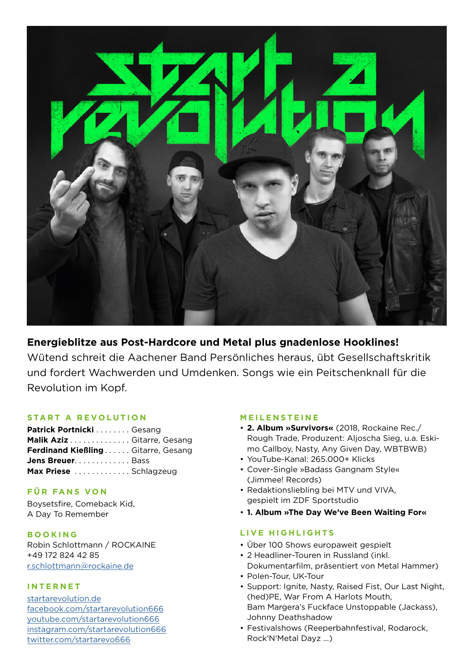

## **Energieblitze aus Post-Hardcore und Metal plus gnadenlose Hooklines!**

Wütend schreit die Aachener Band Persönliches heraus, übt Gesellschaftskritik und fordert Wachwerden und Umdenken. Songs wie ein Peitschenknall für die Revolution im Kopf.

## **START A REVOLUTION**

| Patrick Portnicki Gesang          |  |
|-----------------------------------|--|
| Malik Aziz Gitarre, Gesang        |  |
| Ferdinand KießlingGitarre, Gesang |  |
| Jens Breuer. Bass                 |  |
| Max Priese  Schlagzeug            |  |

## **FÜR FANS VON**

Boysetsfire, Comeback Kid, A Day To Remember

**BOOKING** Robin Schlottmann / ROCKAINE +49 172 824 42 85 r.schlottmann@rockaine.de

## **I N T E R N E T**

startarevolution.de facebook.com/startarevolution666 youtube.com/startarevolution666 instagram.com/startarevolution666 twitter.com/startarevo666

## **MEILENSTEINE**

- **2. Album »Survivors«** (2018, Rockaine Rec./ Rough Trade, Produzent: Aljoscha Sieg, u.a. Eskimo Callboy, Nasty, Any Given Day, WBTBWB)
- YouTube-Kanal: 265.000+ Klicks
- Cover-Single »Badass Gangnam Style« (Jimmee! Records)
- Redaktionsliebling bei MTV und VIVA, gespielt im ZDF Sportstudio
- **1. Album »The Day We've Been Waiting For«**

## **LIVE HIGHLIGHTS**

- Über 100 Shows europaweit gespielt
- 2 Headliner-Touren in Russland (inkl. Dokumentarfilm, präsentiert von Metal Hammer)
- Polen-Tour, UK-Tour
- Support: Ignite, Nasty, Raised Fist, Our Last Night, (hed)PE, War From A Harlots Mouth, Bam Margera's Fuckface Unstoppable (Jackass), Johnny Deathshadow
- Festivalshows (Reeperbahnfestival, Rodarock, Rock'N'Metal Dayz …)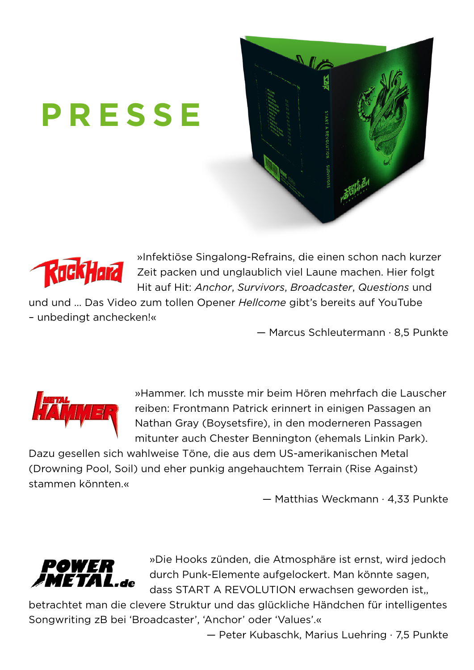# **PRESSE**





»Infektiöse Singalong-Refrains, die einen schon nach kurzer Zeit packen und unglaublich viel Laune machen. Hier folgt Hit auf Hit: *Anchor*, *Survivors*, *Broadcaster*, *Questions* und

und und … Das Video zum tollen Opener *Hellcome* gibt's bereits auf YouTube – unbedingt anchecken!«

— Marcus Schleutermann · 8,5 Punkte



»Hammer. Ich musste mir beim Hören mehrfach die Lauscher reiben: Frontmann Patrick erinnert in einigen Passagen an Nathan Gray (Boysetsfire), in den moderneren Passagen mitunter auch Chester Bennington (ehemals Linkin Park).

Dazu gesellen sich wahlweise Töne, die aus dem US-amerikanischen Metal (Drowning Pool, Soil) und eher punkig angehauchtem Terrain (Rise Against) stammen könnten.«

— Matthias Weckmann · 4,33 Punkte



»Die Hooks zünden, die Atmosphäre ist ernst, wird jedoch durch Punk-Elemente aufgelockert. Man könnte sagen, dass START A REVOLUTION erwachsen geworden ist,,

betrachtet man die clevere Struktur und das glückliche Händchen für intelligentes Songwriting zB bei 'Broadcaster', 'Anchor' oder 'Values'.«

— Peter Kubaschk, Marius Luehring · 7,5 Punkte